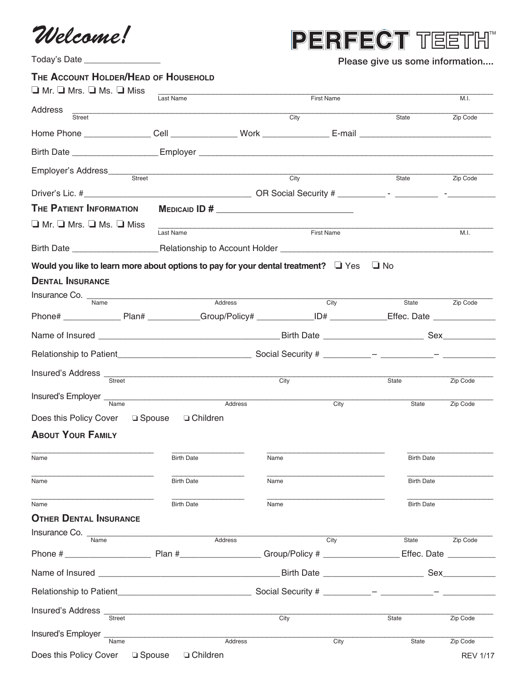*Welcome!*

## PERFECT TEETH"

| Today's Date _________________                                                                                       | Please give us some information                                                                                                 |            |                   |                         |          |
|----------------------------------------------------------------------------------------------------------------------|---------------------------------------------------------------------------------------------------------------------------------|------------|-------------------|-------------------------|----------|
| THE ACCOUNT HOLDER/HEAD OF HOUSEHOLD                                                                                 |                                                                                                                                 |            |                   |                         |          |
| $\Box$ Mr. $\Box$ Mrs. $\Box$ Ms. $\Box$ Miss                                                                        | Last Name                                                                                                                       |            | <b>First Name</b> |                         | M.I.     |
| Address<br>Street                                                                                                    |                                                                                                                                 | City       |                   | State                   | Zip Code |
|                                                                                                                      |                                                                                                                                 |            |                   |                         |          |
| Birth Date <u>___________________</u>                                                                                |                                                                                                                                 |            |                   |                         |          |
| Employer's Address____                                                                                               |                                                                                                                                 |            |                   |                         |          |
| Street                                                                                                               |                                                                                                                                 | City       |                   | State                   | Zip Code |
| <b>THE PATIENT INFORMATION</b>                                                                                       | $M$ EDICAID ID # $\frac{1}{2}$                                                                                                  |            |                   |                         |          |
| $\Box$ Mr. $\Box$ Mrs. $\Box$ Ms. $\Box$ Miss                                                                        |                                                                                                                                 |            |                   |                         |          |
|                                                                                                                      | Last Name                                                                                                                       | First Name |                   |                         | M.I.     |
|                                                                                                                      |                                                                                                                                 |            |                   |                         |          |
| Would you like to learn more about options to pay for your dental treatment? $\Box$ Yes $\Box$ No                    |                                                                                                                                 |            |                   |                         |          |
| <b>DENTAL INSURANCE</b>                                                                                              |                                                                                                                                 |            |                   |                         |          |
| Insurance Co. Mame                                                                                                   | <u> 1980 - Jan James James Barbara, martxa a shekara 1980 - 1981 - 1982 - 1983 - 1984 - 1986 - 1986 - 1986 - 198</u><br>Address |            | City              | State                   | Zip Code |
| Phone# ___________________Plan# _____________Group/Policy# _______________ID# ______________Effec. Date ____________ |                                                                                                                                 |            |                   |                         |          |
|                                                                                                                      |                                                                                                                                 |            |                   |                         |          |
|                                                                                                                      |                                                                                                                                 |            |                   |                         |          |
|                                                                                                                      |                                                                                                                                 |            |                   |                         |          |
| Insured's Address <u>Street City</u>                                                                                 |                                                                                                                                 |            |                   | State                   | Zip Code |
| Insured's Employer Name                                                                                              | Address                                                                                                                         |            | City              | State                   | Zip Code |
| Does this Policy Cover Q Spouse                                                                                      | □ Children                                                                                                                      |            |                   |                         |          |
| <b>ABOUT YOUR FAMILY</b>                                                                                             |                                                                                                                                 |            |                   |                         |          |
| Name                                                                                                                 | <b>Birth Date</b>                                                                                                               | Name       |                   | <b>Birth Date</b>       |          |
|                                                                                                                      |                                                                                                                                 |            |                   |                         |          |
| Name                                                                                                                 | <b>Birth Date</b>                                                                                                               | Name       |                   | <b>Birth Date</b>       |          |
| Name                                                                                                                 | <b>Birth Date</b>                                                                                                               | Name       |                   | <b>Birth Date</b>       |          |
| <b>OTHER DENTAL INSURANCE</b>                                                                                        |                                                                                                                                 |            |                   |                         |          |
| Insurance Co. Name                                                                                                   | Address                                                                                                                         |            | City              | State                   | Zip Code |
|                                                                                                                      |                                                                                                                                 |            |                   | Effec. Date ___________ |          |
|                                                                                                                      |                                                                                                                                 |            |                   |                         |          |
|                                                                                                                      |                                                                                                                                 |            |                   |                         |          |
| Insured's Address <sub>Street</sub>                                                                                  |                                                                                                                                 |            |                   |                         |          |
|                                                                                                                      |                                                                                                                                 | City       |                   | State                   | Zip Code |
| Insured's Employer _<br>Name                                                                                         | Address                                                                                                                         |            | City              | State                   | Zip Code |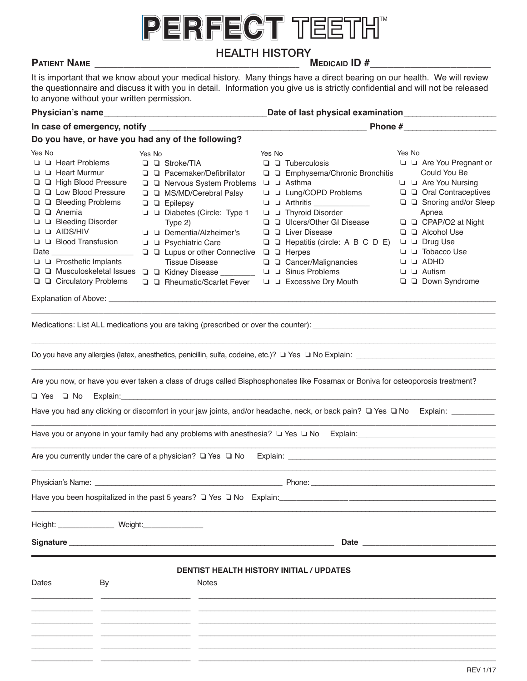# PERFECT TEETH

### **HEALTH HISTORY**

### **Patient Name \_\_\_\_\_\_\_\_\_\_\_\_\_\_\_\_\_\_\_\_\_\_\_\_\_\_\_\_\_\_\_\_\_\_\_\_\_\_\_\_\_\_\_\_\_\_\_\_\_\_\_\_\_\_\_\_\_\_\_\_\_\_\_\_\_\_\_\_\_**

**Medicaid ID #**

It is important that we know about your medical history. Many things have a direct bearing on our health. We will review the questionnaire and discuss it with you in detail. Information you give us is strictly confidential and will not be released **Insurance contracts: Insurance contracts:** Insurance a Tarrier, we will also carrier, we will also carrier, we w<br>Insurance without your written permission.

|                                                                                                                                                                                                                                                                                                                                                                          |                                                                                                                                                                                                                                                                                                                                                                                                                   | Phone #                                                                                                                                                                                                                                                                                                                                                                                                                                                                                                                                                                                                                                                     |                                                                                                                                                                                                                                                                                               |  |  |
|--------------------------------------------------------------------------------------------------------------------------------------------------------------------------------------------------------------------------------------------------------------------------------------------------------------------------------------------------------------------------|-------------------------------------------------------------------------------------------------------------------------------------------------------------------------------------------------------------------------------------------------------------------------------------------------------------------------------------------------------------------------------------------------------------------|-------------------------------------------------------------------------------------------------------------------------------------------------------------------------------------------------------------------------------------------------------------------------------------------------------------------------------------------------------------------------------------------------------------------------------------------------------------------------------------------------------------------------------------------------------------------------------------------------------------------------------------------------------------|-----------------------------------------------------------------------------------------------------------------------------------------------------------------------------------------------------------------------------------------------------------------------------------------------|--|--|
| Do you have, or have you had any of the following?                                                                                                                                                                                                                                                                                                                       |                                                                                                                                                                                                                                                                                                                                                                                                                   |                                                                                                                                                                                                                                                                                                                                                                                                                                                                                                                                                                                                                                                             |                                                                                                                                                                                                                                                                                               |  |  |
| Yes No<br>$\Box$ $\Box$ Heart Problems<br>$\Box$ $\Box$ Heart Murmur<br>□ □ High Blood Pressure<br><b>Q Q</b> Low Blood Pressure<br>□ □ Bleeding Problems<br>$\Box$ $\Box$ Anemia<br>□ □ Bleeding Disorder<br>$\square$ $\square$ AIDS/HIV<br>$\Box$ $\Box$ Blood Transfusion<br>$\Box$ Prosthetic Implants<br>$\Box$ Musculoskeletal Issues<br>□ □ Circulatory Problems | Yes No<br>$\Box$ $\Box$ Stroke/TIA<br>□ □ Pacemaker/Defibrillator<br>□ □ Nervous System Problems □ □ Asthma<br>□ □ MS/MD/Cerebral Palsy<br>$\Box$ $\Box$ Epilepsy<br>□ □ Diabetes (Circle: Type 1<br>Type 2)<br>□ □ Dementia/Alzheimer's<br><b>Q Q</b> Psychiatric Care<br>□ □ Lupus or other Connective □ □ Herpes<br><b>Tissue Disease</b><br>□ □ Kidney Disease ________<br><b>Q</b> Q Rheumatic/Scarlet Fever | Yes No<br>$\Box$ $\Box$ Tuberculosis<br>□ □ Emphysema/Chronic Bronchitis<br>□ □ Lung/COPD Problems<br>$\Box$ $\Box$ Arthritis ______________<br>$\Box$ $\Box$ Thyroid Disorder<br>□ □ Ulcers/Other GI Disease<br>□ □ Liver Disease<br>□ □ Hepatitis (circle: A B C D E) □ □ Drug Use<br>□ □ Cancer/Malignancies<br>□ □ Sinus Problems<br>$\Box$ $\Box$ Excessive Dry Mouth                                                                                                                                                                                                                                                                                  | Yes No<br>□ □ Are You Pregnant or<br>Could You Be<br>□ □ Are You Nursing<br>□ □ Oral Contraceptives<br>□ □ Snoring and/or Sleep<br>Apnea<br>□ □ CPAP/O2 at Night<br>$\Box$ $\Box$ Alcohol Use<br>□ □ Tobacco Use<br>$\Box$ $\Box$ ADHD<br>$\Box$ $\Box$ Autism<br>$\Box$ $\Box$ Down Syndrome |  |  |
|                                                                                                                                                                                                                                                                                                                                                                          |                                                                                                                                                                                                                                                                                                                                                                                                                   |                                                                                                                                                                                                                                                                                                                                                                                                                                                                                                                                                                                                                                                             |                                                                                                                                                                                                                                                                                               |  |  |
|                                                                                                                                                                                                                                                                                                                                                                          |                                                                                                                                                                                                                                                                                                                                                                                                                   | Medications: List ALL medications you are taking (prescribed or over the counter):                                                                                                                                                                                                                                                                                                                                                                                                                                                                                                                                                                          |                                                                                                                                                                                                                                                                                               |  |  |
|                                                                                                                                                                                                                                                                                                                                                                          | $\Box$ Yes $\Box$ No Explain: $\Box$                                                                                                                                                                                                                                                                                                                                                                              | Do you have any allergies (latex, anesthetics, penicillin, sulfa, codeine, etc.)? The Tho Explain: Thomas and the manuscription of the Sylain: Thomas and the Sylain subset of the Sylain subset of the Sylain subset of the S<br>Are you now, or have you ever taken a class of drugs called Bisphosphonates like Fosamax or Boniva for osteoporosis treatment?<br>Have you had any clicking or discomfort in your jaw joints, and/or headache, neck, or back pain? □ Yes □ No Explain: _________<br>Are you currently under the care of a physician? The State of No Explain: The Explaint Content of the Care of a physician? The State of Area Explain: |                                                                                                                                                                                                                                                                                               |  |  |
|                                                                                                                                                                                                                                                                                                                                                                          |                                                                                                                                                                                                                                                                                                                                                                                                                   |                                                                                                                                                                                                                                                                                                                                                                                                                                                                                                                                                                                                                                                             |                                                                                                                                                                                                                                                                                               |  |  |
|                                                                                                                                                                                                                                                                                                                                                                          | Have you been hospitalized in the past 5 years? Q Yes Q No Explain:                                                                                                                                                                                                                                                                                                                                               |                                                                                                                                                                                                                                                                                                                                                                                                                                                                                                                                                                                                                                                             |                                                                                                                                                                                                                                                                                               |  |  |
| Height: ________________ Weight: _______________                                                                                                                                                                                                                                                                                                                         |                                                                                                                                                                                                                                                                                                                                                                                                                   |                                                                                                                                                                                                                                                                                                                                                                                                                                                                                                                                                                                                                                                             |                                                                                                                                                                                                                                                                                               |  |  |
| Dates<br>By                                                                                                                                                                                                                                                                                                                                                              | Notes                                                                                                                                                                                                                                                                                                                                                                                                             | <b>DENTIST HEALTH HISTORY INITIAL / UPDATES</b>                                                                                                                                                                                                                                                                                                                                                                                                                                                                                                                                                                                                             |                                                                                                                                                                                                                                                                                               |  |  |

\_\_\_\_\_\_\_\_\_\_\_\_\_\_\_ \_\_\_\_\_\_\_\_\_\_\_\_\_\_\_\_\_\_\_\_\_\_ \_\_\_\_\_\_\_\_\_\_\_\_\_\_\_\_\_\_\_\_\_\_\_\_\_\_\_\_\_\_\_\_\_\_\_\_\_\_\_\_\_\_\_\_\_\_\_\_\_\_\_\_\_\_\_\_\_\_\_\_\_\_\_\_\_\_\_\_\_\_\_\_\_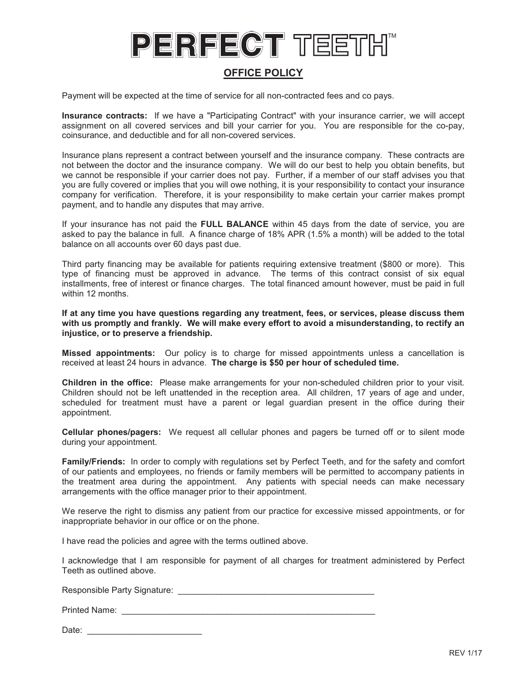### **OFFICE POLICY**

Payment will be expected at the time of service for all non-contracted fees and co pays.

**Insurance contracts:** If we have a "Participating Contract" with your insurance carrier, we will accept assignment on all covered services and bill your carrier for you. You are responsible for the co-pay, assignment on all covered services and bill your carrier for you. You are responsible for the co-pay, coinsurance, and deductible and for all non-covered services. coinsurance, and deductible and for all non-covered services.

Insurance plans represent a contract between yourself and the insurance company. These contracts are Insurance plans represent a contract between yourself and the insurance company. These contracts are<br>not between the doctor and the insurance company. We will do our best to help you obtain benefits, but we cannot be responsible if your carrier does not pay. Further, if a member of our staff advises you that we cannot be responsible if your carrier does not pay. Further, if a member of our staff advises you that<br>you are fully covered or implies that you will owe nothing, it is your responsibility to contact your insurance company for verification. Therefore, it is your responsibility to make certain your carrier makes prompt company for verification. Therefore, it is your responsibility to make certain your carrier makes prompt payment, and to handle any disputes that may arrive. payment, and to handle any disputes that may arrive. **PERION EXERCT CONSULTS AND ACTIVE CONSULTS AND A CONSULTS AND A CONSULTS AND A CONSULTS AND A CONSULTS ARE CONSULTS AND A CONSULTS AND A CONSULTS AND A CONSULTS AND A CONSULTS AND A CONSULTS AND A CONSULTS AND A CONSULTS Party of the space of the control of the space of the space of the space of the space of the space of the space of the space of the space of the space of the space of the space of the space of the space of the space of t** 

If your insurance has not paid the **FULL BALANCE** within 45 days from the date of service, you are asked to pay the balance in full. A finance charge of 18% APR (1.5% a month) will be added to the total balance on all accounts over 60 days past due. If your insurance has not paid the FULL BALANCE within 45 days from the date of service, you are<br>asked to pay the balance in full. A finance charge of 18% APR (1.5% a month) will be added to the total<br>balance on all accoun

Third party financing may be available for patients requiring extensive treatment (\$800 or more). This Third party financing may be available for patients requiring extensive treatment (\$800 or more). This type of financing must be approved in advance. The terms of this contract consist of six equal type of financing must be approved in advance. The terms of this contract consist of six equal<br>installments, free of interest or finance charges. The total financed amount however, must be paid in full within 12 months. within 12 months.

**If at any time you have questions regarding any treatment, fees, or services, please discuss them If at any time you have questions regarding any treatment, fees, or services, please discuss them with us promptly and frankly. We will make every effort to avoid a misunderstanding, to rectify an with us promptly and frankly. We will make every effort to avoid a misunderstanding, to rectify an injustice, or to preserve a friendship. injustice, or to preserve a friendship.**

**Missed appointments:** Our policy is to charge for missed appointments unless a cancellation is **Missed appointments:** Our policy is to charge for missed appointments unless a cancellation is received at least 24 hours in advance. **The charge is \$50 per hour of scheduled time.**

**Children in the office:** Please make arrangements for your non-scheduled children prior to your visit. Children should not be left unattended in the reception area. All children, 17 years of age and under, scheduled for treatment must have a parent or legal guardian present in the office during their appointment. received at least 24 hours in advance. The charge is \$50 per hour of scheduled time.<br>Children in the office: Please make arrangements for your non-scheduled children prior to your visit.<br>Children should not be left unatten

**Cellular phones/pagers:** We request all cellular phones and pagers be turned off or to silent mode **Cellular phones/pagers:** We request all cellular phones and pagers be turned off or to silent mode during your appointment. during your appointment.

**Family/Friends:** In order to comply with regulations set by Perfect Teeth, and for the safety and comfort **Family/Friends:** In order to comply with regulations set by Perfect Teeth, and for the safety and comfort of our patients and employees, no friends or family members will be permitted to accompany patients in of our patients and employees, no friends or family members will be permitted to accompany patients in<br>the treatment area during the appointment. Any patients with special needs can make necessary arrangements with the office manager prior to their appointment.

arrangements with the office manager prior to their appointment.<br>We reserve the right to dismiss any patient from our practice for excessive missed appointments, or for inappropriate behavior in our office or on the phone. the phone.

I have read the policies and agree with the terms outlined above.

I have read the policies and agree with the terms outlined above.<br>I acknowledge that I am responsible for payment of all charges for treatment administered by Perfect Teeth as outlined above. as outlined above.

Responsible Party Signature: \_\_\_\_\_\_\_\_\_\_\_\_\_\_\_\_\_\_\_\_\_\_\_\_\_\_\_\_\_\_\_\_\_\_\_\_\_\_\_\_\_

Printed Name: \_\_\_\_\_\_\_\_\_\_\_\_\_\_\_\_\_\_\_\_\_\_\_\_\_\_\_\_\_\_\_\_\_\_\_\_\_\_\_\_\_\_\_\_\_\_\_\_\_\_\_\_\_

Date: \_\_\_\_\_\_\_\_\_\_\_\_\_\_\_\_\_\_\_\_\_\_\_\_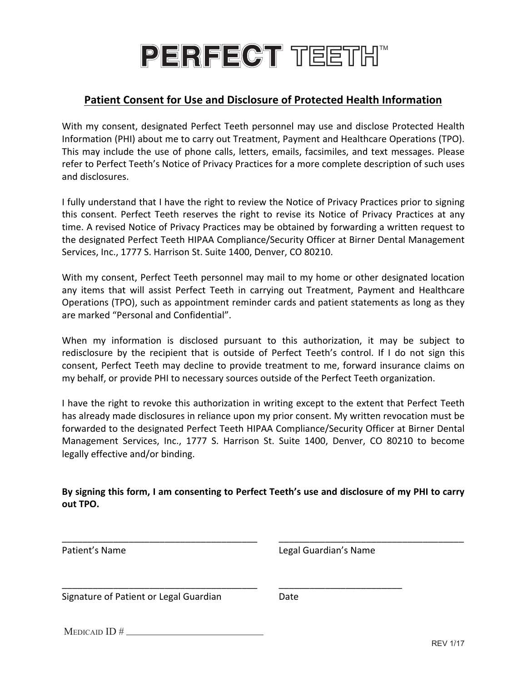## PERFECT TEETH"

### **Patient Consent for Use and Disclosure of Protected Health Information**

With my consent, designated Perfect Teeth personnel may use and disclose Protected Health Information (PHI) about me to carry out Treatment, Payment and Healthcare Operations (TPO). This may include the use of phone calls, letters, emails, facsimiles, and text messages. Please refer to Perfect Teeth's Notice of Privacy Practices for a more complete description of such uses and disclosures.

I fully understand that I have the right to review the Notice of Privacy Practices prior to signing this consent. Perfect Teeth reserves the right to revise its Notice of Privacy Practices at any time. A revised Notice of Privacy Practices may be obtained by forwarding a written request to the designated Perfect Teeth HIPAA Compliance/Security Officer at Birner Dental Management Services, Inc., 1777 S. Harrison St. Suite 1400, Denver, CO 80210.

With my consent, Perfect Teeth personnel may mail to my home or other designated location any items that will assist Perfect Teeth in carrying out Treatment, Payment and Healthcare Operations (TPO), such as appointment reminder cards and patient statements as long as they are marked "Personal and Confidential".

When my information is disclosed pursuant to this authorization, it may be subject to redisclosure by the recipient that is outside of Perfect Teeth's control. If I do not sign this consent, Perfect Teeth may decline to provide treatment to me, forward insurance claims on my behalf, or provide PHI to necessary sources outside of the Perfect Teeth organization.

I have the right to revoke this authorization in writing except to the extent that Perfect Teeth has already made disclosures in reliance upon my prior consent. My written revocation must be forwarded to the designated Perfect Teeth HIPAA Compliance/Security Officer at Birner Dental Management Services, Inc., 1777 S. Harrison St. Suite 1400, Denver, CO 80210 to become legally effective and/or binding.

By signing this form, I am consenting to Perfect Teeth's use and disclosure of my PHI to carry **out 
TPO.**

| Patient's Name                         | Legal Guardian's Name |  |
|----------------------------------------|-----------------------|--|
| Signature of Patient or Legal Guardian | Date                  |  |
| MEDICAID $ID \#$                       |                       |  |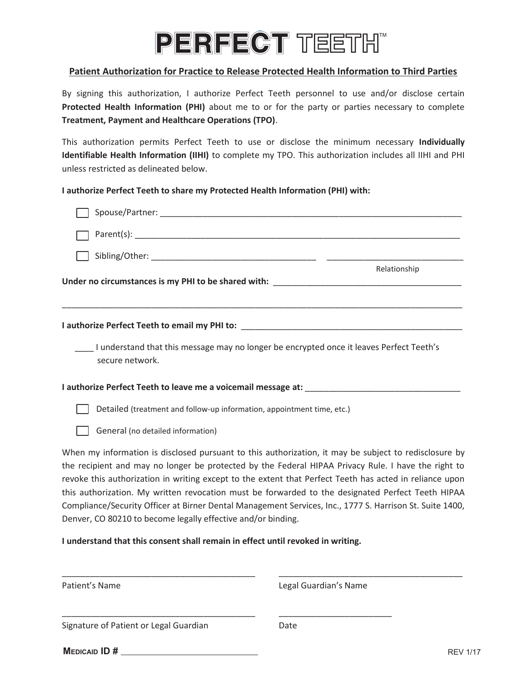## PERFECT TEETH"

#### **Patient Authorization for Practice to Release Protected Health Information to Third Parties**

**By** signing this authorization, I authorize Perfect Teeth personnel to use and/or disclose certain By signing this authorization, I authorize Periect Teeth personner to use and/or disclose certain<br>Protected Health Information (PHI) about me to or for the party or parties necessary to complete **Treatment, Payment and Healthcare Operations (TPO)**. 

  $\mathcal{L}^{\text{max}}$  information  $\mathcal{L}^{\text{max}}$  in formation  $\mathcal{L}^{\text{max}}$  in the  $\mathcal{L}^{\text{max}}$ 

This authorization permits Perfect Teeth to use or disclose the minimum necessary **Individually**  This authorization permits Perfect Teeth to use or disclose the minimum necessary **individually**<br>**Identifiable Health Information (IIHI)** to complete my TPO. This authorization includes all IIHI and PHI unless restricted as delineated below. This authorization permits Perfect Teeth to use or disclose the minimum pecessary **Individually** smith the complete my in or the complete the complete the second second second second second second second second second second second second second second second second second second second second second second second sec  $\alpha$  behavior readment intermedient (in the complete my  $\alpha$ 

### l authorize Perfect Teeth to share my Protected Health Information (PHI) with:

|                                                                                 | Relationship                                                                                                                                                                                                 |
|---------------------------------------------------------------------------------|--------------------------------------------------------------------------------------------------------------------------------------------------------------------------------------------------------------|
|                                                                                 | Under no circumstances is my PHI to be shared with: _____________________________                                                                                                                            |
|                                                                                 |                                                                                                                                                                                                              |
| secure network.                                                                 | I understand that this message may no longer be encrypted once it leaves Perfect Teeth's                                                                                                                     |
|                                                                                 |                                                                                                                                                                                                              |
| Detailed (treatment and follow-up information, appointment time, etc.)          |                                                                                                                                                                                                              |
|                                                                                 |                                                                                                                                                                                                              |
| General (no detailed information)                                               |                                                                                                                                                                                                              |
|                                                                                 | When my information is disclosed pursuant to this authorization, it may be subject to redisclosure by                                                                                                        |
|                                                                                 | the recipient and may no longer be protected by the Federal HIPAA Privacy Rule. I have the right to                                                                                                          |
|                                                                                 | revoke this authorization in writing except to the extent that Perfect Teeth has acted in reliance upon<br>this authorization. My written revocation must be forwarded to the designated Perfect Teeth HIPAA |
|                                                                                 | Compliance/Security Officer at Birner Dental Management Services, Inc., 1777 S. Harrison St. Suite 1400,                                                                                                     |
| Denver, CO 80210 to become legally effective and/or binding.                    |                                                                                                                                                                                                              |
| I understand that this consent shall remain in effect until revoked in writing. |                                                                                                                                                                                                              |
|                                                                                 |                                                                                                                                                                                                              |

Signature of Patient or Legal Guardian Date

\_\_\_\_\_\_\_\_\_\_\_\_\_\_\_\_\_\_\_\_\_\_\_\_\_\_\_\_\_\_\_\_\_\_\_\_\_\_\_\_\_ \_\_\_\_\_\_\_\_\_\_\_\_\_\_\_\_\_\_\_\_\_\_\_\_